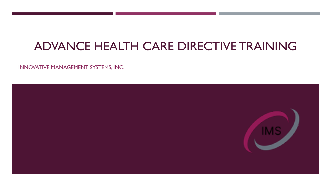# ADVANCE HEALTH CARE DIRECTIVE TRAINING

INNOVATIVE MANAGEMENT SYSTEMS, INC.

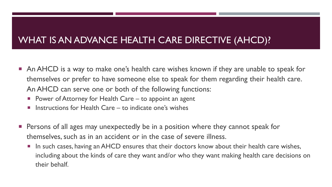### WHAT IS AN ADVANCE HEALTH CARE DIRECTIVE (AHCD)?

- **An AHCD** is a way to make one's health care wishes known if they are unable to speak for themselves or prefer to have someone else to speak for them regarding their health care. An AHCD can serve one or both of the following functions:
	- **Power of Attorney for Health Care to appoint an agent**
	- **I** Instructions for Health Care to indicate one's wishes
- Persons of all ages may unexpectedly be in a position where they cannot speak for themselves, such as in an accident or in the case of severe illness.
	- **IF In such cases, having an AHCD ensures that their doctors know about their health care wishes,** including about the kinds of care they want and/or who they want making health care decisions on their behalf.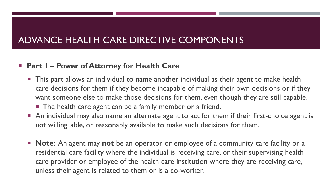#### **Part 1 – Power of Attorney for Health Care**

- **This part allows an individual to name another individual as their agent to make health** care decisions for them if they become incapable of making their own decisions or if they want someone else to make those decisions for them, even though they are still capable. ■ The health care agent can be a family member or a friend.
- An individual may also name an alternate agent to act for them if their first-choice agent is not willing, able, or reasonably available to make such decisions for them.
- **Note**: An agent may **not** be an operator or employee of a community care facility or a residential care facility where the individual is receiving care, or their supervising health care provider or employee of the health care institution where they are receiving care, unless their agent is related to them or is a co-worker.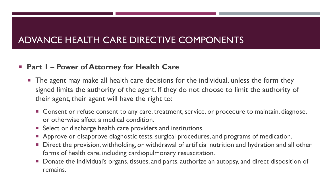#### **Part 1 – Power of Attorney for Health Care**

- **The agent may make all health care decisions for the individual, unless the form they** signed limits the authority of the agent. If they do not choose to limit the authority of their agent, their agent will have the right to:
	- **Consent or refuse consent to any care, treatment, service, or procedure to maintain, diagnose,** or otherwise affect a medical condition.
	- **Select or discharge health care providers and institutions.**
	- **Approve or disapprove diagnostic tests, surgical procedures, and programs of medication.**
	- **Direct the provision, withholding, or withdrawal of artificial nutrition and hydration and all other** forms of health care, including cardiopulmonary resuscitation.
	- Donate the individual's organs, tissues, and parts, authorize an autopsy, and direct disposition of remains.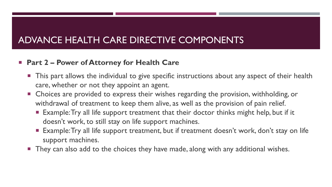### **Part 2 – Power of Attorney for Health Care**

- **This part allows the individual to give specific instructions about any aspect of their health** care, whether or not they appoint an agent.
- **EXPEDEES 12** Choices are provided to express their wishes regarding the provision, withholding, or withdrawal of treatment to keep them alive, as well as the provision of pain relief.
	- **Example: Try all life support treatment that their doctor thinks might help, but if it** doesn't work, to still stay on life support machines.
	- **Example: Try all life support treatment, but if treatment doesn't work, don't stay on life** support machines.
- **They can also add to the choices they have made, along with any additional wishes.**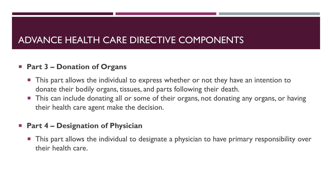### **Part 3 – Donation of Organs**

- This part allows the individual to express whether or not they have an intention to donate their bodily organs, tissues, and parts following their death.
- **This can include donating all or some of their organs, not donating any organs, or having** their health care agent make the decision.

#### **Part 4 – Designation of Physician**

 This part allows the individual to designate a physician to have primary responsibility over their health care.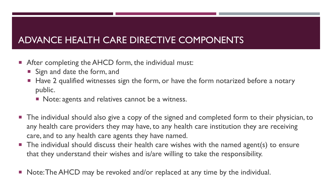- **After completing the AHCD form, the individual must:** 
	- Sign and date the form, and
	- Have 2 qualified witnesses sign the form, or have the form notarized before a notary public.
		- Note: agents and relatives cannot be a witness.
- The individual should also give a copy of the signed and completed form to their physician, to any health care providers they may have, to any health care institution they are receiving care, and to any health care agents they have named.
- **The individual should discuss their health care wishes with the named agent(s) to ensure** that they understand their wishes and is/are willing to take the responsibility.
- Note: The AHCD may be revoked and/or replaced at any time by the individual.